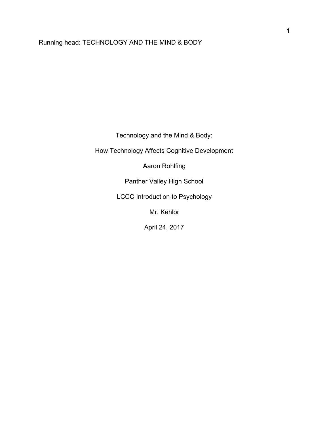# Running head: TECHNOLOGY AND THE MIND & BODY

Technology and the Mind & Body:

How Technology Affects Cognitive Development

Aaron Rohlfing

Panther Valley High School

LCCC Introduction to Psychology

Mr. Kehlor

April 24, 2017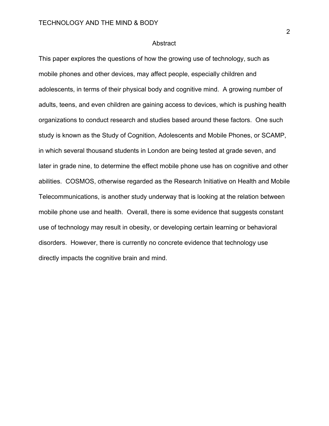#### Abstract

This paper explores the questions of how the growing use of technology, such as mobile phones and other devices, may affect people, especially children and adolescents, in terms of their physical body and cognitive mind. A growing number of adults, teens, and even children are gaining access to devices, which is pushing health organizations to conduct research and studies based around these factors. One such study is known as the Study of Cognition, Adolescents and Mobile Phones, or SCAMP, in which several thousand students in London are being tested at grade seven, and later in grade nine, to determine the effect mobile phone use has on cognitive and other abilities. COSMOS, otherwise regarded as the Research Initiative on Health and Mobile Telecommunications, is another study underway that is looking at the relation between mobile phone use and health. Overall, there is some evidence that suggests constant use of technology may result in obesity, or developing certain learning or behavioral disorders. However, there is currently no concrete evidence that technology use directly impacts the cognitive brain and mind.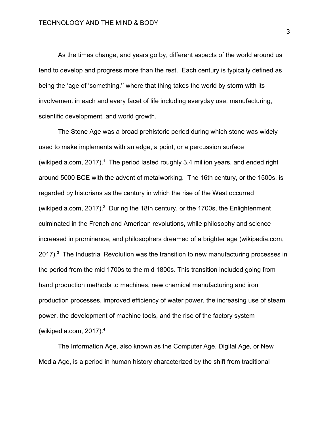As the times change, and years go by, different aspects of the world around us tend to develop and progress more than the rest. Each century is typically defined as being the 'age of 'something,'' where that thing takes the world by storm with its involvement in each and every facet of life including everyday use, manufacturing, scientific development, and world growth.

The Stone Age was a broad prehistoric period during which stone was widely used to make implements with an edge, a point, or a percussion surface (wikipedia.com,  $2017$ ).<sup>1</sup> The period lasted roughly 3.4 million years, and ended right around 5000 BCE with the advent of metalworking. The 16th century, or the 1500s, is regarded by historians as the century in which the rise of the West occurred (wikipedia.com, 2017).<sup>2</sup> During the 18th century, or the 1700s, the Enlightenment culminated in the French and American revolutions, while philosophy and science increased in prominence, and philosophers dreamed of a brighter age (wikipedia.com, 2017). $3$  The Industrial Revolution was the transition to new manufacturing processes in the period from the mid 1700s to the mid 1800s. This transition included going from hand production methods to machines, new chemical manufacturing and iron production processes, improved efficiency of water power, the increasing use of steam power, the development of machine tools, and the rise of the factory system (wikipedia.com, 2017).<sup>4</sup>

The Information Age, also known as the Computer Age, Digital Age, or New Media Age, is a period in human history characterized by the shift from traditional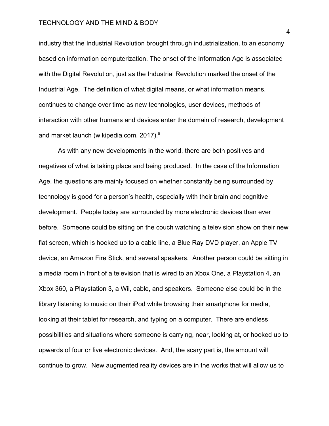industry that the Industrial Revolution brought through industrialization, to an economy based on information computerization. The onset of the Information Age is associated with the Digital Revolution, just as the Industrial Revolution marked the onset of the Industrial Age. The definition of what digital means, or what information means, continues to change over time as new technologies, user devices, methods of interaction with other humans and devices enter the domain of research, development and market launch (wikipedia.com, 2017).<sup>5</sup>

As with any new developments in the world, there are both positives and negatives of what is taking place and being produced. In the case of the Information Age, the questions are mainly focused on whether constantly being surrounded by technology is good for a person's health, especially with their brain and cognitive development. People today are surrounded by more electronic devices than ever before. Someone could be sitting on the couch watching a television show on their new flat screen, which is hooked up to a cable line, a Blue Ray DVD player, an Apple TV device, an Amazon Fire Stick, and several speakers. Another person could be sitting in a media room in front of a television that is wired to an Xbox One, a Playstation 4, an Xbox 360, a Playstation 3, a Wii, cable, and speakers. Someone else could be in the library listening to music on their iPod while browsing their smartphone for media, looking at their tablet for research, and typing on a computer. There are endless possibilities and situations where someone is carrying, near, looking at, or hooked up to upwards of four or five electronic devices. And, the scary part is, the amount will continue to grow. New augmented reality devices are in the works that will allow us to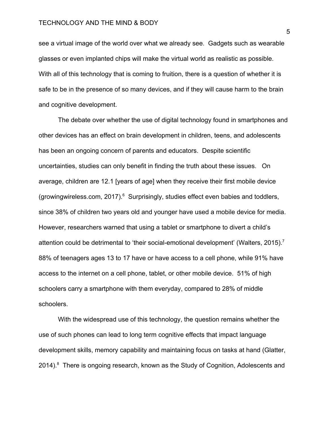see a virtual image of the world over what we already see. Gadgets such as wearable glasses or even implanted chips will make the virtual world as realistic as possible. With all of this technology that is coming to fruition, there is a question of whether it is safe to be in the presence of so many devices, and if they will cause harm to the brain and cognitive development.

The debate over whether the use of digital technology found in smartphones and other devices has an effect on brain development in children, teens, and adolescents has been an ongoing concern of parents and educators. Despite scientific uncertainties, studies can only benefit in finding the truth about these issues. On average, children are 12.1 [years of age] when they receive their first mobile device (growingwireless.com, 2017).<sup>6</sup> Surprisingly, studies effect even babies and toddlers, since 38% of children two years old and younger have used a mobile device for media. However, researchers warned that using a tablet or smartphone to divert a child's attention could be detrimental to 'their social-emotional development' (Walters, 2015).<sup>7</sup> 88% of teenagers ages 13 to 17 have or have access to a cell phone, while 91% have access to the internet on a cell phone, tablet, or other mobile device. 51% of high schoolers carry a smartphone with them everyday, compared to 28% of middle schoolers.

With the widespread use of this technology, the question remains whether the use of such phones can lead to long term cognitive effects that impact language development skills, memory capability and maintaining focus on tasks at hand (Glatter, 2014).<sup>8</sup> There is ongoing research, known as the Study of Cognition, Adolescents and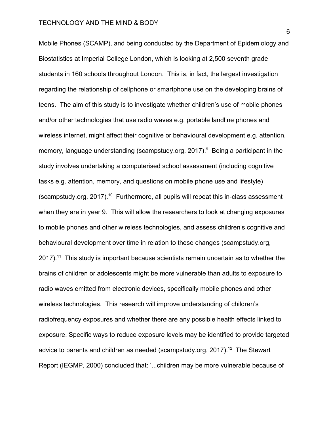Mobile Phones (SCAMP), and being conducted by the Department of Epidemiology and Biostatistics at Imperial College London, which is looking at 2,500 seventh grade students in 160 schools throughout London. This is, in fact, the largest investigation regarding the relationship of cellphone or smartphone use on the developing brains of teens. The aim of this study is to investigate whether children's use of mobile phones and/or other technologies that use radio waves e.g. portable landline phones and wireless internet, might affect their cognitive or behavioural development e.g. attention, memory, language understanding (scampstudy.org, 2017).<sup>9</sup> Being a participant in the study involves undertaking a computerised school assessment (including cognitive tasks e.g. attention, memory, and questions on mobile phone use and lifestyle) (scampstudy.org, 2017).<sup>10</sup> Furthermore, all pupils will repeat this in-class assessment when they are in year 9. This will allow the researchers to look at changing exposures to mobile phones and other wireless technologies, and assess children's cognitive and behavioural development over time in relation to these changes (scampstudy.org,  $2017$ ).<sup>11</sup> This study is important because scientists remain uncertain as to whether the brains of children or adolescents might be more vulnerable than adults to exposure to radio waves emitted from electronic devices, specifically mobile phones and other wireless technologies. This research will improve understanding of children's radiofrequency exposures and whether there are any possible health effects linked to exposure. Specific ways to reduce exposure levels may be identified to provide targeted advice to parents and children as needed (scampstudy.org, 2017).<sup>12</sup> The Stewart Report (IEGMP, 2000) concluded that: '...children may be more vulnerable because of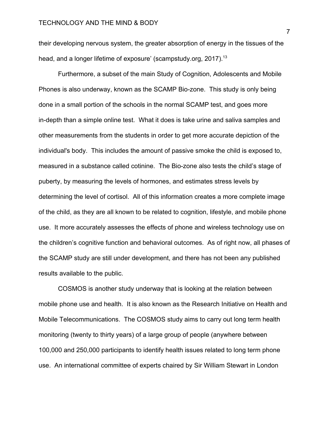their developing nervous system, the greater absorption of energy in the tissues of the head, and a longer lifetime of exposure' (scampstudy.org, 2017).<sup>13</sup>

Furthermore, a subset of the main Study of Cognition, Adolescents and Mobile Phones is also underway, known as the SCAMP Bio-zone. This study is only being done in a small portion of the schools in the normal SCAMP test, and goes more in-depth than a simple online test. What it does is take urine and saliva samples and other measurements from the students in order to get more accurate depiction of the individual's body. This includes the amount of passive smoke the child is exposed to, measured in a substance called cotinine. The Bio-zone also tests the child's stage of puberty, by measuring the levels of hormones, and estimates stress levels by determining the level of cortisol. All of this information creates a more complete image of the child, as they are all known to be related to cognition, lifestyle, and mobile phone use. It more accurately assesses the effects of phone and wireless technology use on the children's cognitive function and behavioral outcomes. As of right now, all phases of the SCAMP study are still under development, and there has not been any published results available to the public.

COSMOS is another study underway that is looking at the relation between mobile phone use and health. It is also known as the Research Initiative on Health and Mobile Telecommunications. The COSMOS study aims to carry out long term health monitoring (twenty to thirty years) of a large group of people (anywhere between 100,000 and 250,000 participants to identify health issues related to long term phone use. An international committee of experts chaired by Sir William Stewart in London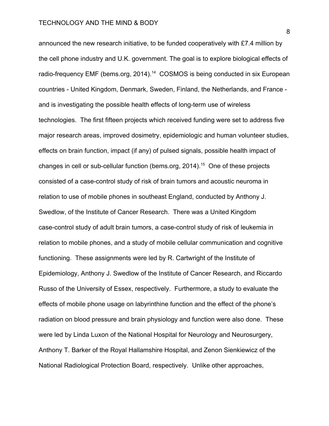announced the new research initiative, to be funded cooperatively with £7.4 million by the cell phone industry and U.K. government. The goal is to explore biological effects of radio-frequency EMF (bems.org, 2014).<sup>14</sup> COSMOS is being conducted in six European countries - United Kingdom, Denmark, Sweden, Finland, the Netherlands, and France and is investigating the possible health effects of long-term use of wireless technologies. The first fifteen projects which received funding were set to address five major research areas, improved dosimetry, epidemiologic and human volunteer studies, effects on brain function, impact (if any) of pulsed signals, possible health impact of changes in cell or sub-cellular function (bems.org, 2014).<sup>15</sup> One of these projects consisted of a case-control study of risk of brain tumors and acoustic neuroma in relation to use of mobile phones in southeast England, conducted by Anthony J. Swedlow, of the Institute of Cancer Research. There was a United Kingdom case-control study of adult brain tumors, a case-control study of risk of leukemia in relation to mobile phones, and a study of mobile cellular communication and cognitive functioning. These assignments were led by R. Cartwright of the Institute of Epidemiology, Anthony J. Swedlow of the Institute of Cancer Research, and Riccardo Russo of the University of Essex, respectively. Furthermore, a study to evaluate the effects of mobile phone usage on labyrinthine function and the effect of the phone's radiation on blood pressure and brain physiology and function were also done. These were led by Linda Luxon of the National Hospital for Neurology and Neurosurgery, Anthony T. Barker of the Royal Hallamshire Hospital, and Zenon Sienkiewicz of the National Radiological Protection Board, respectively. Unlike other approaches,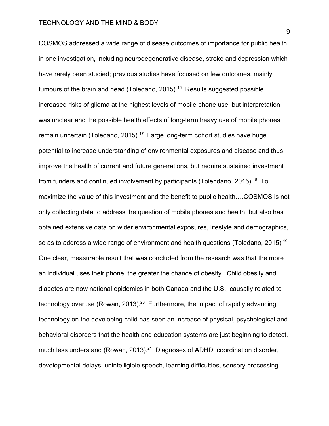COSMOS addressed a wide range of disease outcomes of importance for public health in one investigation, including neurodegenerative disease, stroke and depression which have rarely been studied; previous studies have focused on few outcomes, mainly tumours of the brain and head (Toledano, 2015).<sup>16</sup> Results suggested possible increased risks of glioma at the highest levels of mobile phone use, but interpretation was unclear and the possible health effects of long-term heavy use of mobile phones remain uncertain (Toledano, 2015).<sup>17</sup> Large long-term cohort studies have huge potential to increase understanding of environmental exposures and disease and thus improve the health of current and future generations, but require sustained investment from funders and continued involvement by participants (Tolendano, 2015).<sup>18</sup> To maximize the value of this investment and the benefit to public health….COSMOS is not only collecting data to address the question of mobile phones and health, but also has obtained extensive data on wider environmental exposures, lifestyle and demographics, so as to address a wide range of environment and health questions (Toledano, 2015).<sup>19</sup> One clear, measurable result that was concluded from the research was that the more an individual uses their phone, the greater the chance of obesity. Child obesity and diabetes are now national epidemics in both Canada and the U.S., causally related to technology overuse (Rowan, 2013). $^{20}$  Furthermore, the impact of rapidly advancing technology on the developing child has seen an increase of physical, psychological and behavioral disorders that the health and education systems are just beginning to detect, much less understand (Rowan, 2013). $^{21}$  Diagnoses of ADHD, coordination disorder, developmental delays, unintelligible speech, learning difficulties, sensory processing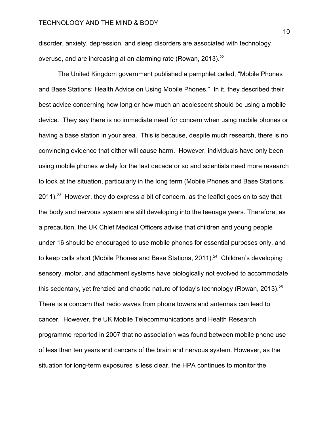disorder, anxiety, depression, and sleep disorders are associated with technology overuse, and are increasing at an alarming rate (Rowan, 2013).<sup>22</sup>

The United Kingdom government published a pamphlet called, "Mobile Phones and Base Stations: Health Advice on Using Mobile Phones." In it, they described their best advice concerning how long or how much an adolescent should be using a mobile device. They say there is no immediate need for concern when using mobile phones or having a base station in your area. This is because, despite much research, there is no convincing evidence that either will cause harm. However, individuals have only been using mobile phones widely for the last decade or so and scientists need more research to look at the situation, particularly in the long term (Mobile Phones and Base Stations, 2011).<sup>23</sup> However, they do express a bit of concern, as the leaflet goes on to say that the body and nervous system are still developing into the teenage years. Therefore, as a precaution, the UK Chief Medical Officers advise that children and young people under 16 should be encouraged to use mobile phones for essential purposes only, and to keep calls short (Mobile Phones and Base Stations, 2011).<sup>24</sup> Children's developing sensory, motor, and attachment systems have biologically not evolved to accommodate this sedentary, yet frenzied and chaotic nature of today's technology (Rowan, 2013).<sup>25</sup> There is a concern that radio waves from phone towers and antennas can lead to cancer. However, the UK Mobile Telecommunications and Health Research programme reported in 2007 that no association was found between mobile phone use of less than ten years and cancers of the brain and nervous system. However, as the situation for long-term exposures is less clear, the HPA continues to monitor the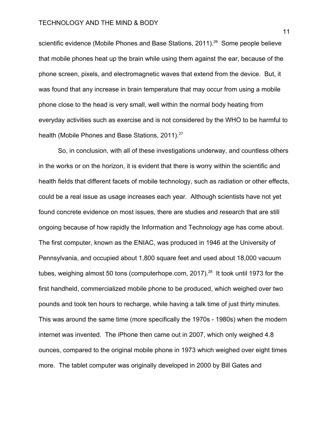scientific evidence (Mobile Phones and Base Stations, 2011).<sup>26</sup> Some people believe that mobile phones heat up the brain while using them against the ear, because of the phone screen, pixels, and electromagnetic waves that extend from the device. But, it was found that any increase in brain temperature that may occur from using a mobile phone close to the head is very small, well within the normal body heating from everyday activities such as exercise and is not considered by the WHO to be harmful to health (Mobile Phones and Base Stations, 2011).<sup>27</sup>

So, in conclusion, with all of these investigations underway, and countless others in the works or on the horizon, it is evident that there is worry within the scientific and health fields that different facets of mobile technology, such as radiation or other effects, could be a real issue as usage increases each year. Although scientists have not yet found concrete evidence on most issues, there are studies and research that are still ongoing because of how rapidly the Information and Technology age has come about. The first computer, known as the ENIAC, was produced in 1946 at the University of Pennsylvania, and occupied about 1,800 square feet and used about 18,000 vacuum tubes, weighing almost 50 tons (computerhope.com, 2017).<sup>28</sup> It took until 1973 for the first handheld, commercialized mobile phone to be produced, which weighed over two pounds and took ten hours to recharge, while having a talk time of just thirty minutes. This was around the same time (more specifically the 1970s - 1980s) when the modern internet was invented. The iPhone then came out in 2007, which only weighed 4.8 ounces, compared to the original mobile phone in 1973 which weighed over eight times more. The tablet computer was originally developed in 2000 by Bill Gates and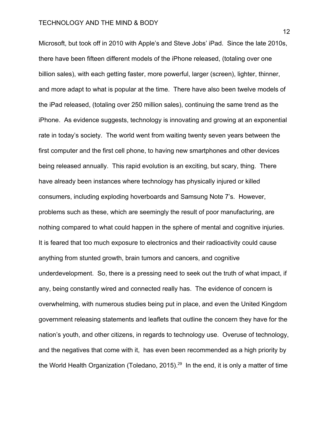Microsoft, but took off in 2010 with Apple's and Steve Jobs' iPad. Since the late 2010s, there have been fifteen different models of the iPhone released, (totaling over one billion sales), with each getting faster, more powerful, larger (screen), lighter, thinner, and more adapt to what is popular at the time. There have also been twelve models of the iPad released, (totaling over 250 million sales), continuing the same trend as the iPhone. As evidence suggests, technology is innovating and growing at an exponential rate in today's society. The world went from waiting twenty seven years between the first computer and the first cell phone, to having new smartphones and other devices being released annually. This rapid evolution is an exciting, but scary, thing. There have already been instances where technology has physically injured or killed consumers, including exploding hoverboards and Samsung Note 7's. However, problems such as these, which are seemingly the result of poor manufacturing, are nothing compared to what could happen in the sphere of mental and cognitive injuries. It is feared that too much exposure to electronics and their radioactivity could cause anything from stunted growth, brain tumors and cancers, and cognitive underdevelopment. So, there is a pressing need to seek out the truth of what impact, if any, being constantly wired and connected really has. The evidence of concern is overwhelming, with numerous studies being put in place, and even the United Kingdom government releasing statements and leaflets that outline the concern they have for the nation's youth, and other citizens, in regards to technology use. Overuse of technology, and the negatives that come with it, has even been recommended as a high priority by the World Health Organization (Toledano, 2015).<sup>29</sup> In the end, it is only a matter of time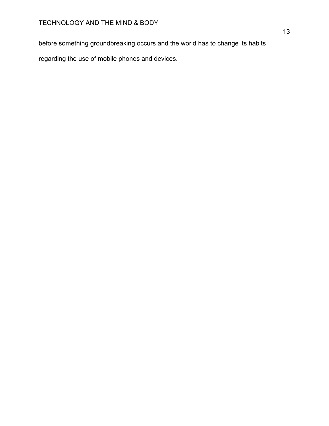before something groundbreaking occurs and the world has to change its habits

regarding the use of mobile phones and devices.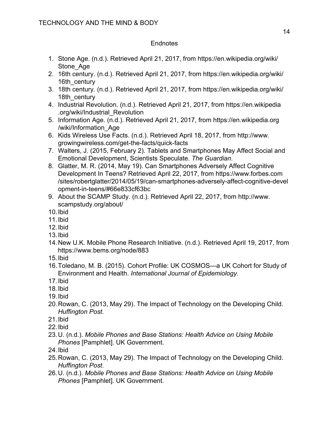# **Endnotes**

- 1. Stone Age. (n.d.). Retrieved April 21, 2017, from https://en.wikipedia.org/wiki/ Stone Age
- 2. 16th century. (n.d.). Retrieved April 21, 2017, from https://en.wikipedia.org/wiki/ 16th century
- 3. 18th century. (n.d.). Retrieved April 21, 2017, from https://en.wikipedia.org/wiki/ 18th century
- 4. Industrial Revolution. (n.d.). Retrieved April 21, 2017, from https://en.wikipedia .org/wiki/Industrial\_Revolution
- 5. Information Age. (n.d.). Retrieved April 21, 2017, from https://en.wikipedia.org /wiki/Information\_Age
- 6. Kids Wireless Use Facts. (n.d.). Retrieved April 18, 2017, from http://www. growingwireless.com/get-the-facts/quick-facts
- 7. Walters, J. (2015, February 2). Tablets and Smartphones May Affect Social and Emotional Development, Scientists Speculate. *The Guardian*.
- 8. Glatter, M. R. (2014, May 19). Can Smartphones Adversely Affect Cognitive Development In Teens? Retrieved April 22, 2017, from https://www.forbes.com /sites/robertglatter/2014/05/19/can-smartphones-adversely-affect-cognitive-devel opment-in-teens/#66e833cf63bc
- 9. About the SCAMP Study. (n.d.). Retrieved April 22, 2017, from http://www. scampstudy.org/about/
- 10.Ibid
- 11.Ibid
- 12.Ibid
- 13.Ibid
- 14.New U.K. Mobile Phone Research Initiative. (n.d.). Retrieved April 19, 2017, from https://www.bems.org/node/883
- 15.Ibid
- 16.Toledano, M. B. (2015). Cohort Profile: UK COSMOS—a UK Cohort for Study of Environment and Health. *International Journal of Epidemiology*.
- 17.Ibid
- 18.Ibid
- 19.Ibid
- 20.Rowan, C. (2013, May 29). The Impact of Technology on the Developing Child. *Huffington Post*.
- 21.Ibid
- 22.Ibid
- 23.U. (n.d.). *Mobile Phones and Base Stations: Health Advice on Using Mobile Phones* [Pamphlet]. UK Government.
- 24.Ibid
- 25.Rowan, C. (2013, May 29). The Impact of Technology on the Developing Child. *Huffington Post*.
- 26.U. (n.d.). *Mobile Phones and Base Stations: Health Advice on Using Mobile Phones* [Pamphlet]. UK Government.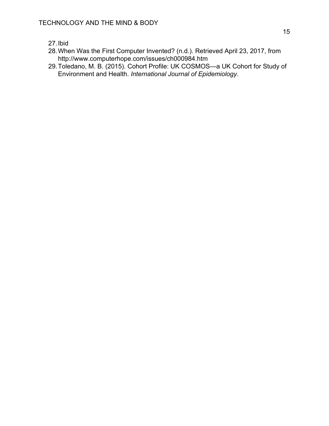- 27.Ibid
- 28.When Was the First Computer Invented? (n.d.). Retrieved April 23, 2017, from http://www.computerhope.com/issues/ch000984.htm
- 29.Toledano, M. B. (2015). Cohort Profile: UK COSMOS—a UK Cohort for Study of Environment and Health. *International Journal of Epidemiology*.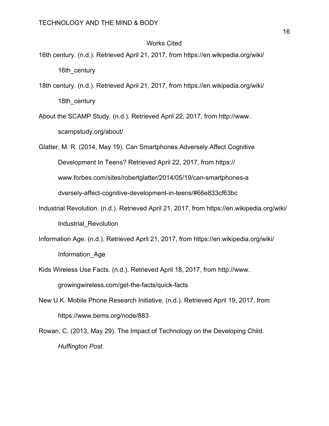## Works Cited

- 16th century. (n.d.). Retrieved April 21, 2017, from https://en.wikipedia.org/wiki/ 16th century
- 18th century. (n.d.). Retrieved April 21, 2017, from https://en.wikipedia.org/wiki/ 18th century
- About the SCAMP Study. (n.d.). Retrieved April 22, 2017, from http://www. scampstudy.org/about/

Glatter, M. R. (2014, May 19). Can Smartphones Adversely Affect Cognitive

Development In Teens? Retrieved April 22, 2017, from https://

www.forbes.com/sites/robertglatter/2014/05/19/can-smartphones-a

dversely-affect-cognitive-development-in-teens/#66e833cf63bc

- Industrial Revolution. (n.d.). Retrieved April 21, 2017, from https://en.wikipedia.org/wiki/ Industrial\_Revolution
- Information Age. (n.d.). Retrieved April 21, 2017, from https://en.wikipedia.org/wiki/ Information\_Age
- Kids Wireless Use Facts. (n.d.). Retrieved April 18, 2017, from http://www. growingwireless.com/get-the-facts/quick-facts
- New U.K. Mobile Phone Research Initiative. (n.d.). Retrieved April 19, 2017, from https://www.bems.org/node/883
- Rowan, C. (2013, May 29). The Impact of Technology on the Developing Child. *Huffington Post*.